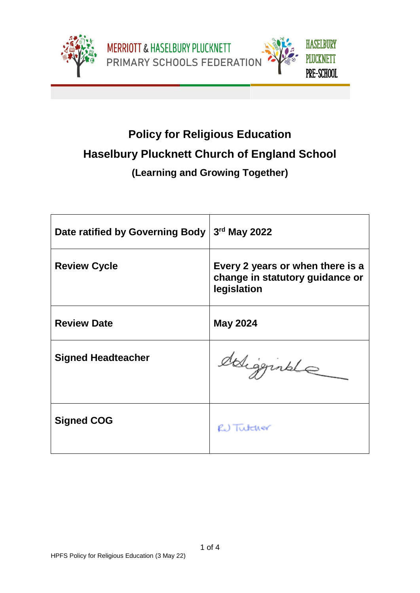





# **Policy for Religious Education Haselbury Plucknett Church of England School**

# **(Learning and Growing Together)**

| Date ratified by Governing Body | 3rd May 2022                                                                       |
|---------------------------------|------------------------------------------------------------------------------------|
| <b>Review Cycle</b>             | Every 2 years or when there is a<br>change in statutory guidance or<br>legislation |
| <b>Review Date</b>              | <b>May 2024</b>                                                                    |
| <b>Signed Headteacher</b>       | deligginale                                                                        |
| <b>Signed COG</b>               | RU Tutcher                                                                         |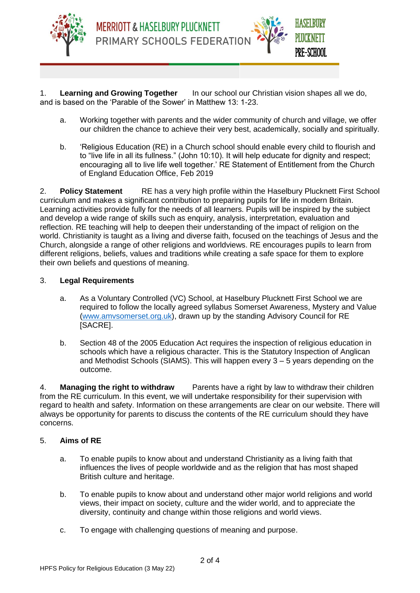

1. **Learning and Growing Together** In our school our Christian vision shapes all we do, and is based on the 'Parable of the Sower' in Matthew 13: 1-23.

PRIMARY SCHOOLS FEDERATION

MERRIOTT & HASELBURY PLUCKNETT

a. Working together with parents and the wider community of church and village, we offer our children the chance to achieve their very best, academically, socially and spiritually.

HASELBURY

PLUCKNETT

PRE-SCHOOL

b. 'Religious Education (RE) in a Church school should enable every child to flourish and to "live life in all its fullness." (John 10:10). It will help educate for dignity and respect; encouraging all to live life well together.' RE Statement of Entitlement from the Church of England Education Office, Feb 2019

2. **Policy Statement** RE has a very high profile within the Haselbury Plucknett First School curriculum and makes a significant contribution to preparing pupils for life in modern Britain. Learning activities provide fully for the needs of all learners. Pupils will be inspired by the subject and develop a wide range of skills such as enquiry, analysis, interpretation, evaluation and reflection. RE teaching will help to deepen their understanding of the impact of religion on the world. Christianity is taught as a living and diverse faith, focused on the teachings of Jesus and the Church, alongside a range of other religions and worldviews. RE encourages pupils to learn from different religions, beliefs, values and traditions while creating a safe space for them to explore their own beliefs and questions of meaning.

## 3. **Legal Requirements**

- a. As a Voluntary Controlled (VC) School, at Haselbury Plucknett First School we are required to follow the locally agreed syllabus Somerset Awareness, Mystery and Value [\(www.amvsomerset.org.uk\)](http://www.amvsomerset.org.uk/), drawn up by the standing Advisory Council for RE [SACRE].
- b. Section 48 of the 2005 Education Act requires the inspection of religious education in schools which have a religious character. This is the Statutory Inspection of Anglican and Methodist Schools (SIAMS). This will happen every 3 – 5 years depending on the outcome.

4. **Managing the right to withdraw** Parents have a right by law to withdraw their children from the RE curriculum. In this event, we will undertake responsibility for their supervision with regard to health and safety. Information on these arrangements are clear on our website. There will always be opportunity for parents to discuss the contents of the RE curriculum should they have concerns.

#### 5. **Aims of RE**

- a. To enable pupils to know about and understand Christianity as a living faith that influences the lives of people worldwide and as the religion that has most shaped British culture and heritage.
- b. To enable pupils to know about and understand other major world religions and world views, their impact on society, culture and the wider world, and to appreciate the diversity, continuity and change within those religions and world views.
- c. To engage with challenging questions of meaning and purpose.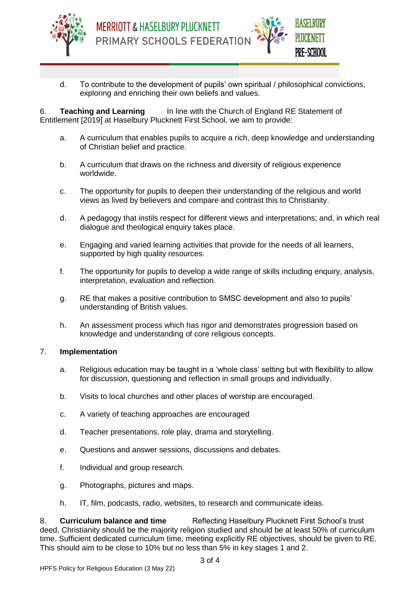

**MERRIOTT & HASELBURY PLUCKNETT** PRIMARY SCHOOLS FEDERATION



d. To contribute to the development of pupils' own spiritual / philosophical convictions, exploring and enriching their own beliefs and values.

6. **Teaching and Learning** In line with the Church of England RE Statement of Entitlement [2019] at Haselbury Plucknett First School, we aim to provide:

- a. A curriculum that enables pupils to acquire a rich, deep knowledge and understanding of Christian belief and practice.
- b. A curriculum that draws on the richness and diversity of religious experience worldwide.
- c. The opportunity for pupils to deepen their understanding of the religious and world views as lived by believers and compare and contrast this to Christianity.
- d. A pedagogy that instils respect for different views and interpretations; and, in which real dialogue and theological enquiry takes place.
- e. Engaging and varied learning activities that provide for the needs of all learners, supported by high quality resources.
- f. The opportunity for pupils to develop a wide range of skills including enquiry, analysis, interpretation, evaluation and reflection.
- g. RE that makes a positive contribution to SMSC development and also to pupils' understanding of British values.
- h. An assessment process which has rigor and demonstrates progression based on knowledge and understanding of core religious concepts.

#### 7. **Implementation**

- a. Religious education may be taught in a 'whole class' setting but with flexibility to allow for discussion, questioning and reflection in small groups and individually.
- b. Visits to local churches and other places of worship are encouraged.
- c. A variety of teaching approaches are encouraged
- d. Teacher presentations, role play, drama and storytelling.
- e. Questions and answer sessions, discussions and debates.
- f. Individual and group research.
- g. Photographs, pictures and maps.
- h. IT, film, podcasts, radio, websites, to research and communicate ideas.

8. **Curriculum balance and time** Reflecting Haselbury Plucknett First School's trust deed, Christianity should be the majority religion studied and should be at least 50% of curriculum time. Sufficient dedicated curriculum time, meeting explicitly RE objectives, should be given to RE. This should aim to be close to 10% but no less than 5% in key stages 1 and 2.